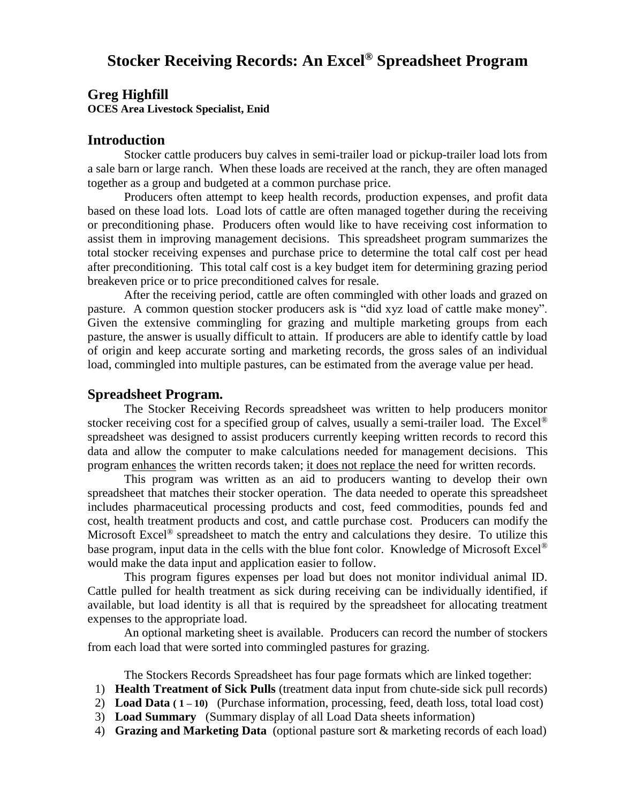**Greg Highfill**

**OCES Area Livestock Specialist, Enid**

## **Introduction**

Stocker cattle producers buy calves in semi-trailer load or pickup-trailer load lots from a sale barn or large ranch. When these loads are received at the ranch, they are often managed together as a group and budgeted at a common purchase price.

Producers often attempt to keep health records, production expenses, and profit data based on these load lots. Load lots of cattle are often managed together during the receiving or preconditioning phase. Producers often would like to have receiving cost information to assist them in improving management decisions. This spreadsheet program summarizes the total stocker receiving expenses and purchase price to determine the total calf cost per head after preconditioning. This total calf cost is a key budget item for determining grazing period breakeven price or to price preconditioned calves for resale.

After the receiving period, cattle are often commingled with other loads and grazed on pasture. A common question stocker producers ask is "did xyz load of cattle make money". Given the extensive commingling for grazing and multiple marketing groups from each pasture, the answer is usually difficult to attain. If producers are able to identify cattle by load of origin and keep accurate sorting and marketing records, the gross sales of an individual load, commingled into multiple pastures, can be estimated from the average value per head.

# **Spreadsheet Program.**

The Stocker Receiving Records spreadsheet was written to help producers monitor stocker receiving cost for a specified group of calves, usually a semi-trailer load. The Excel<sup>®</sup> spreadsheet was designed to assist producers currently keeping written records to record this data and allow the computer to make calculations needed for management decisions. This program enhances the written records taken; it does not replace the need for written records.

This program was written as an aid to producers wanting to develop their own spreadsheet that matches their stocker operation. The data needed to operate this spreadsheet includes pharmaceutical processing products and cost, feed commodities, pounds fed and cost, health treatment products and cost, and cattle purchase cost. Producers can modify the Microsoft Excel<sup>®</sup> spreadsheet to match the entry and calculations they desire. To utilize this base program, input data in the cells with the blue font color. Knowledge of Microsoft Excel<sup>®</sup> would make the data input and application easier to follow.

This program figures expenses per load but does not monitor individual animal ID. Cattle pulled for health treatment as sick during receiving can be individually identified, if available, but load identity is all that is required by the spreadsheet for allocating treatment expenses to the appropriate load.

An optional marketing sheet is available. Producers can record the number of stockers from each load that were sorted into commingled pastures for grazing.

The Stockers Records Spreadsheet has four page formats which are linked together:

- 1) **Health Treatment of Sick Pulls** (treatment data input from chute-side sick pull records)
- 2) **Load Data ( 1 – 10)** (Purchase information, processing, feed, death loss, total load cost)
- 3) **Load Summary** (Summary display of all Load Data sheets information)
- 4) **Grazing and Marketing Data** (optional pasture sort & marketing records of each load)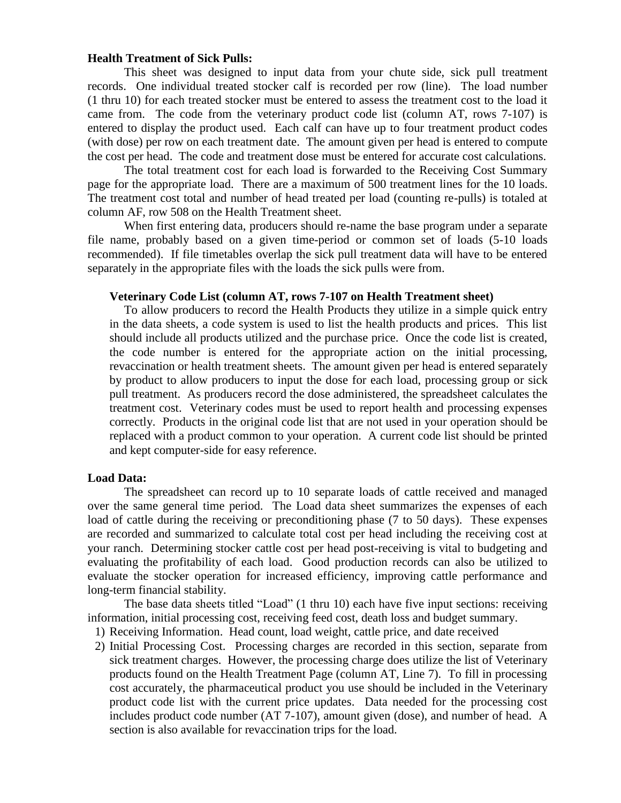## **Health Treatment of Sick Pulls:**

This sheet was designed to input data from your chute side, sick pull treatment records. One individual treated stocker calf is recorded per row (line). The load number (1 thru 10) for each treated stocker must be entered to assess the treatment cost to the load it came from. The code from the veterinary product code list (column AT, rows 7-107) is entered to display the product used. Each calf can have up to four treatment product codes (with dose) per row on each treatment date. The amount given per head is entered to compute the cost per head. The code and treatment dose must be entered for accurate cost calculations.

The total treatment cost for each load is forwarded to the Receiving Cost Summary page for the appropriate load. There are a maximum of 500 treatment lines for the 10 loads. The treatment cost total and number of head treated per load (counting re-pulls) is totaled at column AF, row 508 on the Health Treatment sheet.

When first entering data, producers should re-name the base program under a separate file name, probably based on a given time-period or common set of loads (5-10 loads recommended). If file timetables overlap the sick pull treatment data will have to be entered separately in the appropriate files with the loads the sick pulls were from.

## **Veterinary Code List (column AT, rows 7-107 on Health Treatment sheet)**

To allow producers to record the Health Products they utilize in a simple quick entry in the data sheets, a code system is used to list the health products and prices. This list should include all products utilized and the purchase price. Once the code list is created, the code number is entered for the appropriate action on the initial processing, revaccination or health treatment sheets. The amount given per head is entered separately by product to allow producers to input the dose for each load, processing group or sick pull treatment. As producers record the dose administered, the spreadsheet calculates the treatment cost. Veterinary codes must be used to report health and processing expenses correctly. Products in the original code list that are not used in your operation should be replaced with a product common to your operation. A current code list should be printed and kept computer-side for easy reference.

#### **Load Data:**

The spreadsheet can record up to 10 separate loads of cattle received and managed over the same general time period. The Load data sheet summarizes the expenses of each load of cattle during the receiving or preconditioning phase (7 to 50 days). These expenses are recorded and summarized to calculate total cost per head including the receiving cost at your ranch. Determining stocker cattle cost per head post-receiving is vital to budgeting and evaluating the profitability of each load. Good production records can also be utilized to evaluate the stocker operation for increased efficiency, improving cattle performance and long-term financial stability.

The base data sheets titled "Load" (1 thru 10) each have five input sections: receiving information, initial processing cost, receiving feed cost, death loss and budget summary.

- 1) Receiving Information. Head count, load weight, cattle price, and date received
- 2) Initial Processing Cost. Processing charges are recorded in this section, separate from sick treatment charges. However, the processing charge does utilize the list of Veterinary products found on the Health Treatment Page (column AT, Line 7). To fill in processing cost accurately, the pharmaceutical product you use should be included in the Veterinary product code list with the current price updates. Data needed for the processing cost includes product code number (AT 7-107), amount given (dose), and number of head. A section is also available for revaccination trips for the load.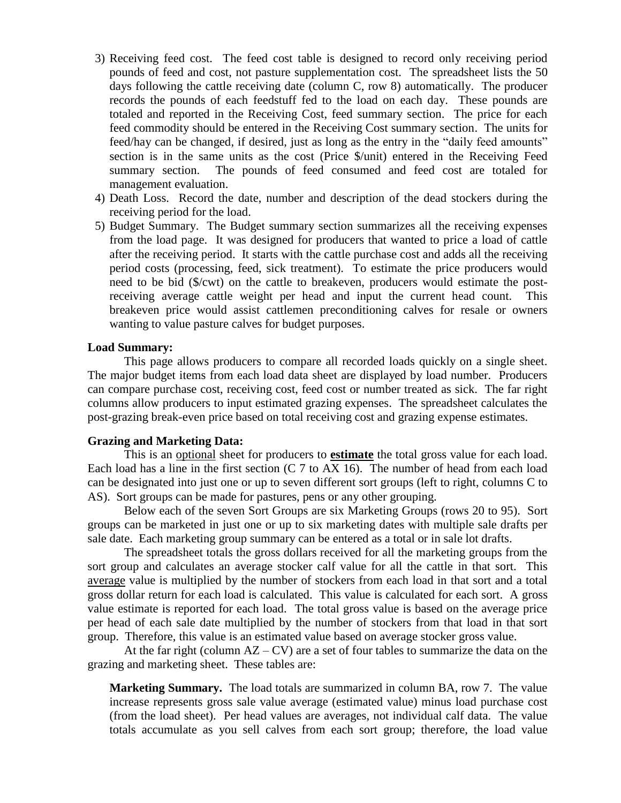- 3) Receiving feed cost. The feed cost table is designed to record only receiving period pounds of feed and cost, not pasture supplementation cost. The spreadsheet lists the 50 days following the cattle receiving date (column C, row 8) automatically. The producer records the pounds of each feedstuff fed to the load on each day. These pounds are totaled and reported in the Receiving Cost, feed summary section. The price for each feed commodity should be entered in the Receiving Cost summary section. The units for feed/hay can be changed, if desired, just as long as the entry in the "daily feed amounts" section is in the same units as the cost (Price \$/unit) entered in the Receiving Feed summary section. The pounds of feed consumed and feed cost are totaled for management evaluation.
- 4) Death Loss. Record the date, number and description of the dead stockers during the receiving period for the load.
- 5) Budget Summary. The Budget summary section summarizes all the receiving expenses from the load page. It was designed for producers that wanted to price a load of cattle after the receiving period. It starts with the cattle purchase cost and adds all the receiving period costs (processing, feed, sick treatment). To estimate the price producers would need to be bid (\$/cwt) on the cattle to breakeven, producers would estimate the postreceiving average cattle weight per head and input the current head count. This breakeven price would assist cattlemen preconditioning calves for resale or owners wanting to value pasture calves for budget purposes.

## **Load Summary:**

This page allows producers to compare all recorded loads quickly on a single sheet. The major budget items from each load data sheet are displayed by load number. Producers can compare purchase cost, receiving cost, feed cost or number treated as sick. The far right columns allow producers to input estimated grazing expenses. The spreadsheet calculates the post-grazing break-even price based on total receiving cost and grazing expense estimates.

## **Grazing and Marketing Data:**

This is an optional sheet for producers to **estimate** the total gross value for each load. Each load has a line in the first section  $(C \ 7 \text{ to AX } 16)$ . The number of head from each load can be designated into just one or up to seven different sort groups (left to right, columns C to AS). Sort groups can be made for pastures, pens or any other grouping.

Below each of the seven Sort Groups are six Marketing Groups (rows 20 to 95). Sort groups can be marketed in just one or up to six marketing dates with multiple sale drafts per sale date. Each marketing group summary can be entered as a total or in sale lot drafts.

The spreadsheet totals the gross dollars received for all the marketing groups from the sort group and calculates an average stocker calf value for all the cattle in that sort. This average value is multiplied by the number of stockers from each load in that sort and a total gross dollar return for each load is calculated. This value is calculated for each sort. A gross value estimate is reported for each load. The total gross value is based on the average price per head of each sale date multiplied by the number of stockers from that load in that sort group. Therefore, this value is an estimated value based on average stocker gross value.

At the far right (column  $AZ - CY$ ) are a set of four tables to summarize the data on the grazing and marketing sheet. These tables are:

**Marketing Summary.** The load totals are summarized in column BA, row 7. The value increase represents gross sale value average (estimated value) minus load purchase cost (from the load sheet). Per head values are averages, not individual calf data. The value totals accumulate as you sell calves from each sort group; therefore, the load value